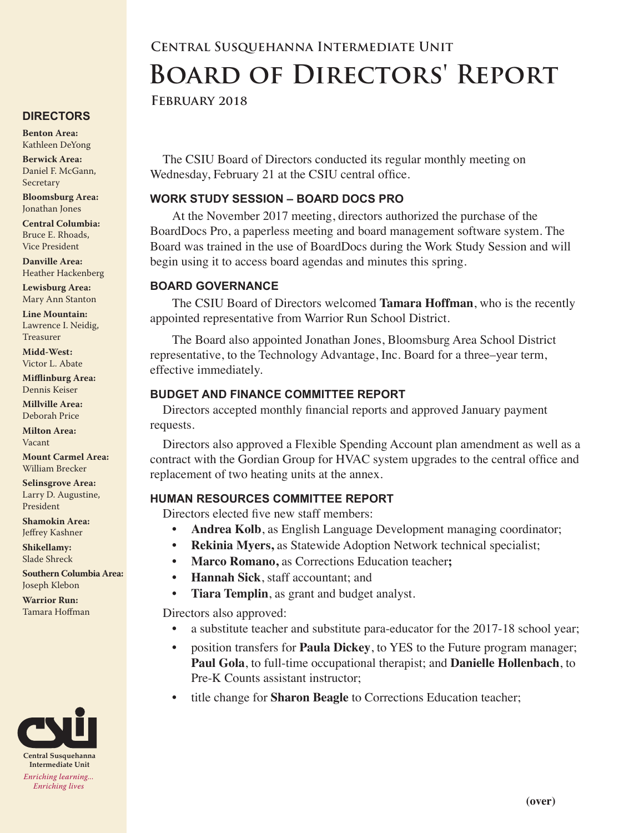# **Central Susquehanna Intermediate Unit Board of Directors' Report**

#### **February 2018**

The CSIU Board of Directors conducted its regular monthly meeting on Wednesday, February 21 at the CSIU central office.

#### **WORK STUDY SESSION – BOARD DOCS PRO**

At the November 2017 meeting, directors authorized the purchase of the BoardDocs Pro, a paperless meeting and board management software system. The Board was trained in the use of BoardDocs during the Work Study Session and will begin using it to access board agendas and minutes this spring.

#### **BOARD GOVERNANCE**

The CSIU Board of Directors welcomed **Tamara Hoffman**, who is the recently appointed representative from Warrior Run School District.

The Board also appointed Jonathan Jones, Bloomsburg Area School District representative, to the Technology Advantage, Inc. Board for a three–year term, effective immediately.

#### **BUDGET AND FINANCE COMMITTEE REPORT**

Directors accepted monthly financial reports and approved January payment requests.

Directors also approved a Flexible Spending Account plan amendment as well as a contract with the Gordian Group for HVAC system upgrades to the central office and replacement of two heating units at the annex.

### **HUMAN RESOURCES COMMITTEE REPORT**

Directors elected five new staff members:

- **• Andrea Kolb**, as English Language Development managing coordinator;
- **• Rekinia Myers,** as Statewide Adoption Network technical specialist;
- **• Marco Romano,** as Corrections Education teacher**;**
- **• Hannah Sick**, staff accountant; and
- **• Tiara Templin**, as grant and budget analyst.

Directors also approved:

- a substitute teacher and substitute para-educator for the 2017-18 school year;
- position transfers for **Paula Dickey**, to YES to the Future program manager; **Paul Gola**, to full-time occupational therapist; and **Danielle Hollenbach**, to Pre-K Counts assistant instructor;
- title change for **Sharon Beagle** to Corrections Education teacher;

### **DIRECTORS**

**Benton Area:** Kathleen DeYong

**Berwick Area:** Daniel F. McGann, Secretary

**Bloomsburg Area:**  Jonathan Jones

**Central Columbia:** Bruce E. Rhoads, Vice President

**Danville Area:** Heather Hackenberg

**Lewisburg Area:** Mary Ann Stanton

**Line Mountain:** Lawrence I. Neidig, Treasurer

**Midd-West:**  Victor L. Abate

**Mifflinburg Area:** Dennis Keiser

**Millville Area:** Deborah Price

**Milton Area:** Vacant

**Mount Carmel Area:**  William Brecker

**Selinsgrove Area:**  Larry D. Augustine, President

**Shamokin Area:** Jeffrey Kashner

**Shikellamy:**  Slade Shreck

**Southern Columbia Area:** Joseph Klebon

**Warrior Run:** Tamara Hoffman